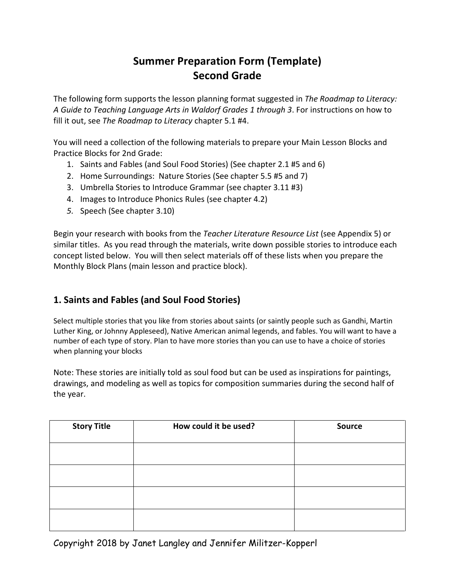# **Summer Preparation Form (Template) Second Grade**

The following form supports the lesson planning format suggested in *The Roadmap to Literacy: A Guide to Teaching Language Arts in Waldorf Grades 1 through 3*. For instructions on how to fill it out, see *The Roadmap to Literacy* chapter 5.1 #4.

You will need a collection of the following materials to prepare your Main Lesson Blocks and Practice Blocks for 2nd Grade:

- 1. Saints and Fables (and Soul Food Stories) (See chapter 2.1 #5 and 6)
- 2. Home Surroundings: Nature Stories (See chapter 5.5 #5 and 7)
- 3. Umbrella Stories to Introduce Grammar (see chapter 3.11 #3)
- 4. Images to Introduce Phonics Rules (see chapter 4.2)
- *5.* Speech (See chapter 3.10)

Begin your research with books from the *Teacher Literature Resource List* (see Appendix 5) or similar titles. As you read through the materials, write down possible stories to introduce each concept listed below. You will then select materials off of these lists when you prepare the Monthly Block Plans (main lesson and practice block).

# **1. Saints and Fables (and Soul Food Stories)**

Select multiple stories that you like from stories about saints (or saintly people such as Gandhi, Martin Luther King, or Johnny Appleseed), Native American animal legends, and fables. You will want to have a number of each type of story. Plan to have more stories than you can use to have a choice of stories when planning your blocks

Note: These stories are initially told as soul food but can be used as inspirations for paintings, drawings, and modeling as well as topics for composition summaries during the second half of the year.

| <b>Story Title</b> | How could it be used? | <b>Source</b> |
|--------------------|-----------------------|---------------|
|                    |                       |               |
|                    |                       |               |
|                    |                       |               |
|                    |                       |               |

Copyright 2018 by Janet Langley and Jennifer Militzer-Kopperl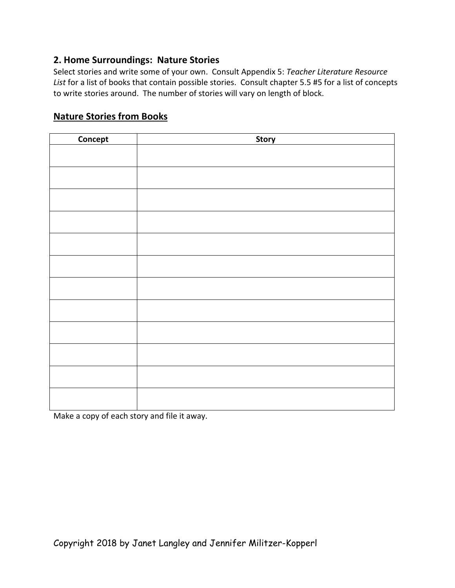#### **2. Home Surroundings: Nature Stories**

Select stories and write some of your own. Consult Appendix 5: *Teacher Literature Resource List* for a list of books that contain possible stories. Consult chapter 5.5 #5 for a list of concepts to write stories around. The number of stories will vary on length of block.

## **Nature Stories from Books**

| Concept | <b>Story</b> |
|---------|--------------|
|         |              |
|         |              |
|         |              |
|         |              |
|         |              |
|         |              |
|         |              |
|         |              |
|         |              |
|         |              |
|         |              |
|         |              |
|         |              |
|         |              |
|         |              |
|         |              |
|         |              |
|         |              |
|         |              |
|         |              |
|         |              |
|         |              |

Make a copy of each story and file it away.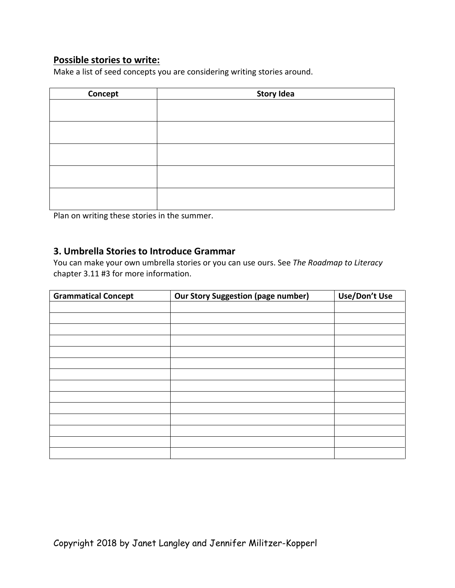## **Possible stories to write:**

Make a list of seed concepts you are considering writing stories around.

| Concept | <b>Story Idea</b> |
|---------|-------------------|
|         |                   |
|         |                   |
|         |                   |
|         |                   |
|         |                   |
|         |                   |
|         |                   |
|         |                   |
|         |                   |
|         |                   |

Plan on writing these stories in the summer.

## **3. Umbrella Stories to Introduce Grammar**

You can make your own umbrella stories or you can use ours. See *The Roadmap to Literacy*  chapter 3.11 #3 for more information.

| <b>Grammatical Concept</b> | <b>Our Story Suggestion (page number)</b> | Use/Don't Use |
|----------------------------|-------------------------------------------|---------------|
|                            |                                           |               |
|                            |                                           |               |
|                            |                                           |               |
|                            |                                           |               |
|                            |                                           |               |
|                            |                                           |               |
|                            |                                           |               |
|                            |                                           |               |
|                            |                                           |               |
|                            |                                           |               |
|                            |                                           |               |
|                            |                                           |               |
|                            |                                           |               |
|                            |                                           |               |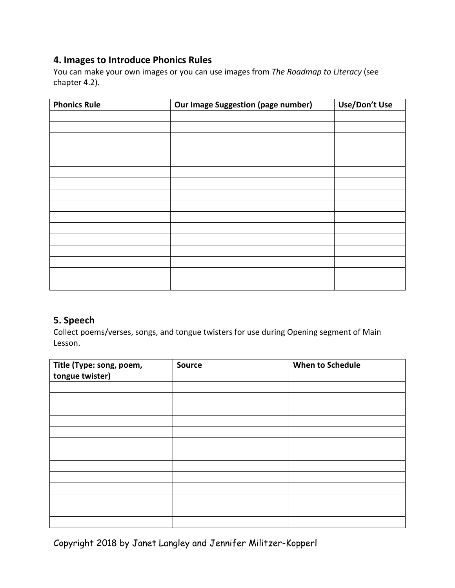## **4. Images to Introduce Phonics Rules**

You can make your own images or you can use images from *The Roadmap to Literacy* (see chapter 4.2).

| <b>Phonics Rule</b> | <b>Our Image Suggestion (page number)</b> | Use/Don't Use |
|---------------------|-------------------------------------------|---------------|
|                     |                                           |               |
|                     |                                           |               |
|                     |                                           |               |
|                     |                                           |               |
|                     |                                           |               |
|                     |                                           |               |
|                     |                                           |               |
|                     |                                           |               |
|                     |                                           |               |
|                     |                                           |               |
|                     |                                           |               |
|                     |                                           |               |
|                     |                                           |               |
|                     |                                           |               |
|                     |                                           |               |
|                     |                                           |               |

# **5. Speech**

Collect poems/verses, songs, and tongue twisters for use during Opening segment of Main Lesson.

| Title (Type: song, poem,<br>tongue twister) | <b>Source</b> | <b>When to Schedule</b> |
|---------------------------------------------|---------------|-------------------------|
|                                             |               |                         |
|                                             |               |                         |
|                                             |               |                         |
|                                             |               |                         |
|                                             |               |                         |
|                                             |               |                         |
|                                             |               |                         |
|                                             |               |                         |
|                                             |               |                         |
|                                             |               |                         |
|                                             |               |                         |
|                                             |               |                         |
|                                             |               |                         |

Copyright 2018 by Janet Langley and Jennifer Militzer-Kopperl